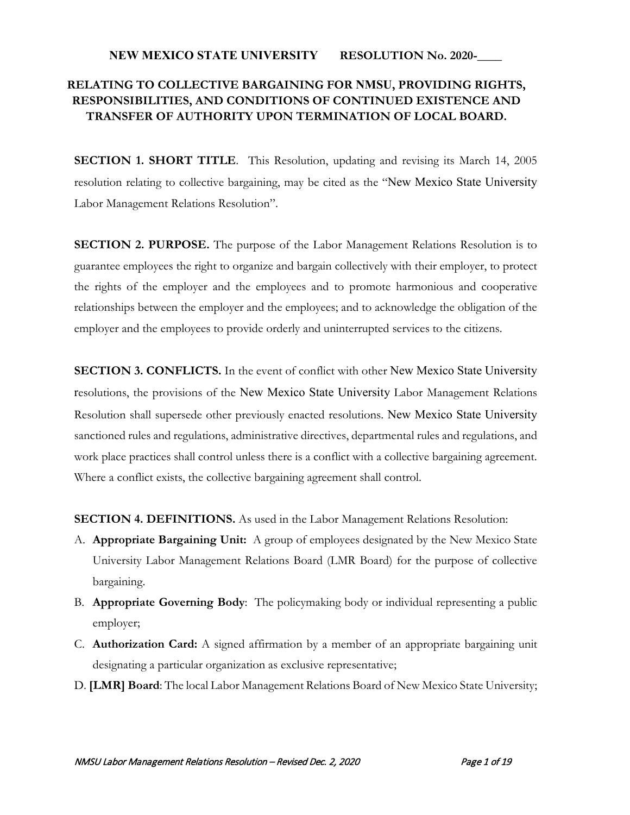## **NEW MEXICO STATE UNIVERSITY RESOLUTION No. 2020-\_\_\_\_**

# **RELATING TO COLLECTIVE BARGAINING FOR NMSU, PROVIDING RIGHTS, RESPONSIBILITIES, AND CONDITIONS OF CONTINUED EXISTENCE AND TRANSFER OF AUTHORITY UPON TERMINATION OF LOCAL BOARD.**

**SECTION 1. SHORT TITLE**. This Resolution, updating and revising its March 14, 2005 resolution relating to collective bargaining, may be cited as the "New Mexico State University Labor Management Relations Resolution".

**SECTION 2. PURPOSE.** The purpose of the Labor Management Relations Resolution is to guarantee employees the right to organize and bargain collectively with their employer, to protect the rights of the employer and the employees and to promote harmonious and cooperative relationships between the employer and the employees; and to acknowledge the obligation of the employer and the employees to provide orderly and uninterrupted services to the citizens.

**SECTION 3. CONFLICTS.** In the event of conflict with other New Mexico State University resolutions, the provisions of the New Mexico State University Labor Management Relations Resolution shall supersede other previously enacted resolutions. New Mexico State University sanctioned rules and regulations, administrative directives, departmental rules and regulations, and work place practices shall control unless there is a conflict with a collective bargaining agreement. Where a conflict exists, the collective bargaining agreement shall control.

**SECTION 4. DEFINITIONS.** As used in the Labor Management Relations Resolution:

- A. **Appropriate Bargaining Unit:** A group of employees designated by the New Mexico State University Labor Management Relations Board (LMR Board) for the purpose of collective bargaining.
- B. **Appropriate Governing Body**: The policymaking body or individual representing a public employer;
- C. **Authorization Card:** A signed affirmation by a member of an appropriate bargaining unit designating a particular organization as exclusive representative;
- D. **[LMR] Board**: The local Labor Management Relations Board of New Mexico State University;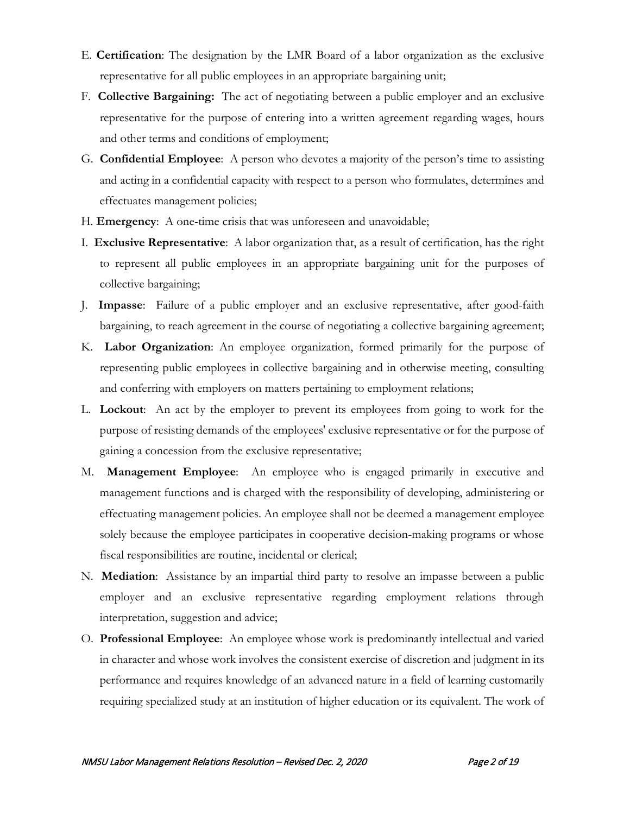- E. **Certification**: The designation by the LMR Board of a labor organization as the exclusive representative for all public employees in an appropriate bargaining unit;
- F. **Collective Bargaining:** The act of negotiating between a public employer and an exclusive representative for the purpose of entering into a written agreement regarding wages, hours and other terms and conditions of employment;
- G. **Confidential Employee**: A person who devotes a majority of the person's time to assisting and acting in a confidential capacity with respect to a person who formulates, determines and effectuates management policies;
- H. **Emergency**: A one-time crisis that was unforeseen and unavoidable;
- I. **Exclusive Representative**: A labor organization that, as a result of certification, has the right to represent all public employees in an appropriate bargaining unit for the purposes of collective bargaining;
- J. **Impasse**: Failure of a public employer and an exclusive representative, after good-faith bargaining, to reach agreement in the course of negotiating a collective bargaining agreement;
- K. **Labor Organization**: An employee organization, formed primarily for the purpose of representing public employees in collective bargaining and in otherwise meeting, consulting and conferring with employers on matters pertaining to employment relations;
- L. **Lockout**: An act by the employer to prevent its employees from going to work for the purpose of resisting demands of the employees' exclusive representative or for the purpose of gaining a concession from the exclusive representative;
- M. **Management Employee**: An employee who is engaged primarily in executive and management functions and is charged with the responsibility of developing, administering or effectuating management policies. An employee shall not be deemed a management employee solely because the employee participates in cooperative decision-making programs or whose fiscal responsibilities are routine, incidental or clerical;
- N. **Mediation**: Assistance by an impartial third party to resolve an impasse between a public employer and an exclusive representative regarding employment relations through interpretation, suggestion and advice;
- O. **Professional Employee**: An employee whose work is predominantly intellectual and varied in character and whose work involves the consistent exercise of discretion and judgment in its performance and requires knowledge of an advanced nature in a field of learning customarily requiring specialized study at an institution of higher education or its equivalent. The work of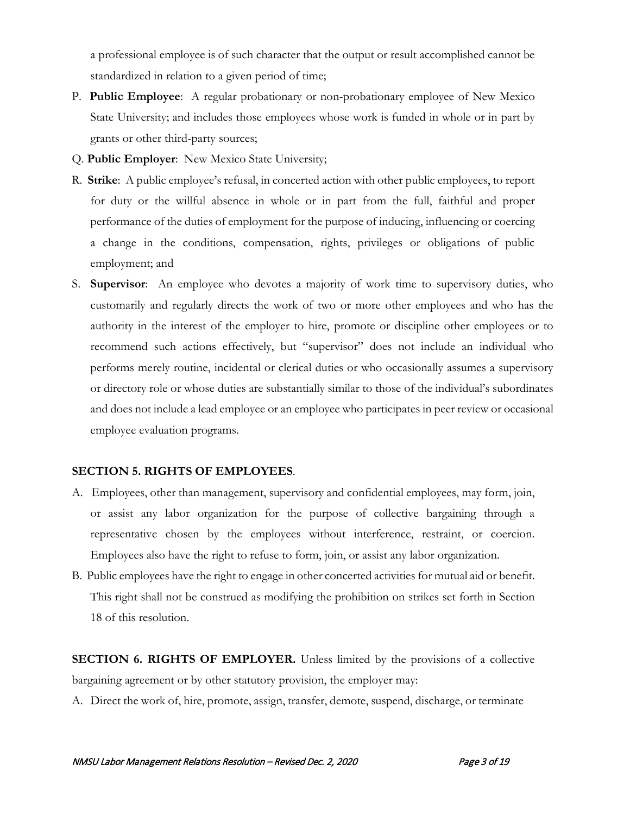a professional employee is of such character that the output or result accomplished cannot be standardized in relation to a given period of time;

- P. **Public Employee**: A regular probationary or non-probationary employee of New Mexico State University; and includes those employees whose work is funded in whole or in part by grants or other third-party sources;
- Q. **Public Employer**: New Mexico State University;
- R. **Strike**: A public employee's refusal, in concerted action with other public employees, to report for duty or the willful absence in whole or in part from the full, faithful and proper performance of the duties of employment for the purpose of inducing, influencing or coercing a change in the conditions, compensation, rights, privileges or obligations of public employment; and
- S. **Supervisor**: An employee who devotes a majority of work time to supervisory duties, who customarily and regularly directs the work of two or more other employees and who has the authority in the interest of the employer to hire, promote or discipline other employees or to recommend such actions effectively, but "supervisor" does not include an individual who performs merely routine, incidental or clerical duties or who occasionally assumes a supervisory or directory role or whose duties are substantially similar to those of the individual's subordinates and does not include a lead employee or an employee who participates in peer review or occasional employee evaluation programs.

#### **SECTION 5. RIGHTS OF EMPLOYEES**.

- A. Employees, other than management, supervisory and confidential employees, may form, join, or assist any labor organization for the purpose of collective bargaining through a representative chosen by the employees without interference, restraint, or coercion. Employees also have the right to refuse to form, join, or assist any labor organization.
- B. Public employees have the right to engage in other concerted activities for mutual aid or benefit. This right shall not be construed as modifying the prohibition on strikes set forth in Section 18 of this resolution.

**SECTION 6. RIGHTS OF EMPLOYER.** Unless limited by the provisions of a collective bargaining agreement or by other statutory provision, the employer may:

A. Direct the work of, hire, promote, assign, transfer, demote, suspend, discharge, or terminate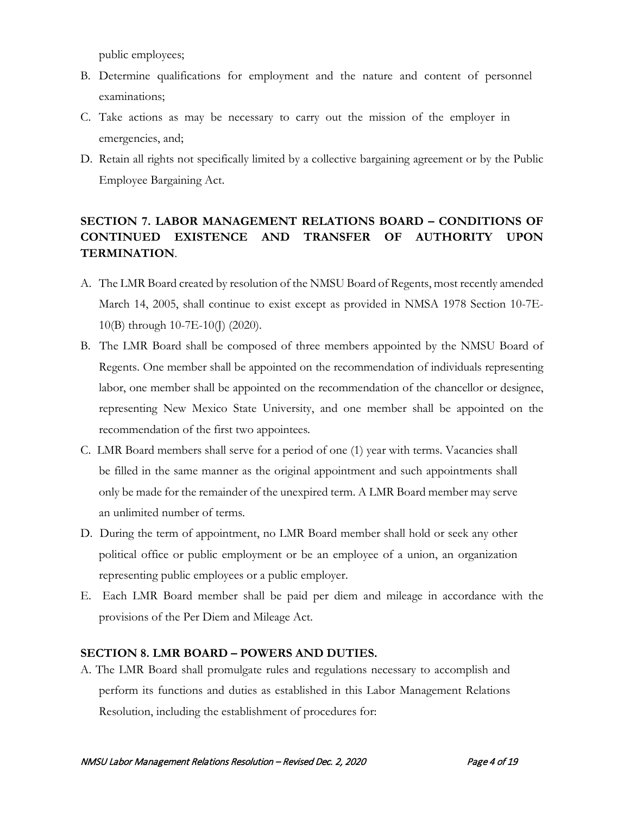public employees;

- B. Determine qualifications for employment and the nature and content of personnel examinations;
- C. Take actions as may be necessary to carry out the mission of the employer in emergencies, and;
- D. Retain all rights not specifically limited by a collective bargaining agreement or by the Public Employee Bargaining Act.

# **SECTION 7. LABOR MANAGEMENT RELATIONS BOARD – CONDITIONS OF CONTINUED EXISTENCE AND TRANSFER OF AUTHORITY UPON TERMINATION**.

- A. The LMR Board created by resolution of the NMSU Board of Regents, most recently amended March 14, 2005, shall continue to exist except as provided in NMSA 1978 Section 10-7E-10(B) through 10-7E-10(J) (2020).
- B. The LMR Board shall be composed of three members appointed by the NMSU Board of Regents. One member shall be appointed on the recommendation of individuals representing labor, one member shall be appointed on the recommendation of the chancellor or designee, representing New Mexico State University, and one member shall be appointed on the recommendation of the first two appointees.
- C. LMR Board members shall serve for a period of one (1) year with terms. Vacancies shall be filled in the same manner as the original appointment and such appointments shall only be made for the remainder of the unexpired term. A LMR Board member may serve an unlimited number of terms.
- D. During the term of appointment, no LMR Board member shall hold or seek any other political office or public employment or be an employee of a union, an organization representing public employees or a public employer.
- E. Each LMR Board member shall be paid per diem and mileage in accordance with the provisions of the Per Diem and Mileage Act.

# **SECTION 8. LMR BOARD – POWERS AND DUTIES.**

A. The LMR Board shall promulgate rules and regulations necessary to accomplish and perform its functions and duties as established in this Labor Management Relations Resolution, including the establishment of procedures for: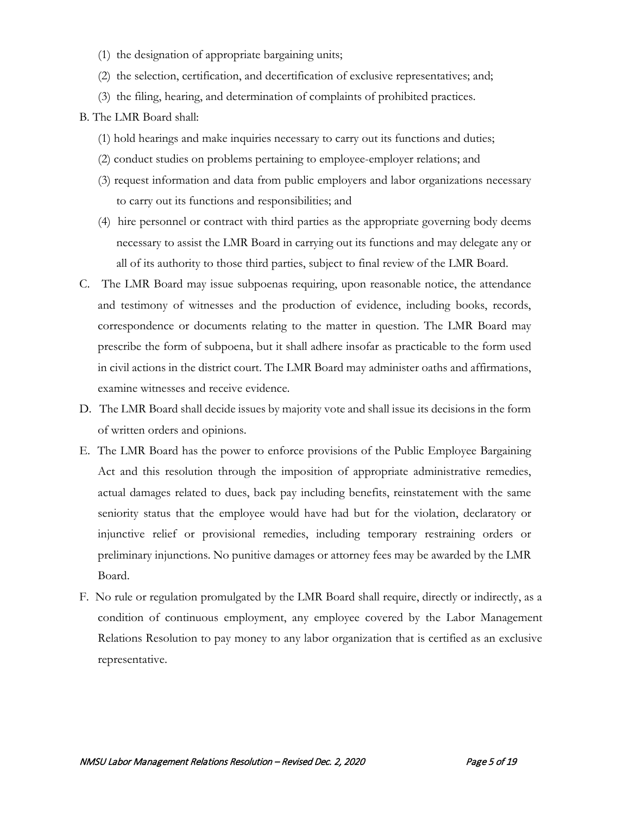- (1) the designation of appropriate bargaining units;
- (2) the selection, certification, and decertification of exclusive representatives; and;
- (3) the filing, hearing, and determination of complaints of prohibited practices.

# B. The LMR Board shall:

- (1) hold hearings and make inquiries necessary to carry out its functions and duties;
- (2) conduct studies on problems pertaining to employee-employer relations; and
- (3) request information and data from public employers and labor organizations necessary to carry out its functions and responsibilities; and
- (4) hire personnel or contract with third parties as the appropriate governing body deems necessary to assist the LMR Board in carrying out its functions and may delegate any or all of its authority to those third parties, subject to final review of the LMR Board.
- C. The LMR Board may issue subpoenas requiring, upon reasonable notice, the attendance and testimony of witnesses and the production of evidence, including books, records, correspondence or documents relating to the matter in question. The LMR Board may prescribe the form of subpoena, but it shall adhere insofar as practicable to the form used in civil actions in the district court. The LMR Board may administer oaths and affirmations, examine witnesses and receive evidence.
- D. The LMR Board shall decide issues by majority vote and shall issue its decisions in the form of written orders and opinions.
- E. The LMR Board has the power to enforce provisions of the Public Employee Bargaining Act and this resolution through the imposition of appropriate administrative remedies, actual damages related to dues, back pay including benefits, reinstatement with the same seniority status that the employee would have had but for the violation, declaratory or injunctive relief or provisional remedies, including temporary restraining orders or preliminary injunctions. No punitive damages or attorney fees may be awarded by the LMR Board.
- F. No rule or regulation promulgated by the LMR Board shall require, directly or indirectly, as a condition of continuous employment, any employee covered by the Labor Management Relations Resolution to pay money to any labor organization that is certified as an exclusive representative.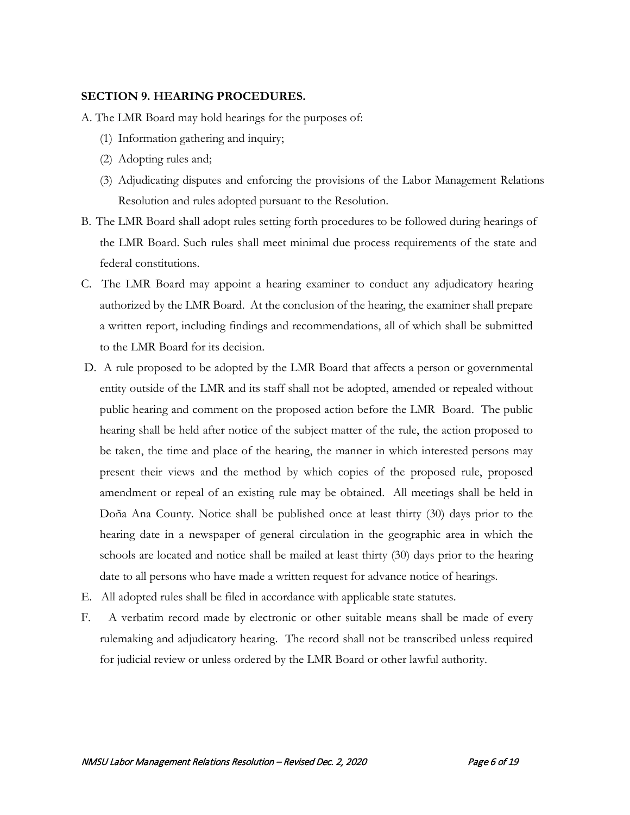## **SECTION 9. HEARING PROCEDURES.**

- A. The LMR Board may hold hearings for the purposes of:
	- (1) Information gathering and inquiry;
	- (2) Adopting rules and;
	- (3) Adjudicating disputes and enforcing the provisions of the Labor Management Relations Resolution and rules adopted pursuant to the Resolution.
- B. The LMR Board shall adopt rules setting forth procedures to be followed during hearings of the LMR Board. Such rules shall meet minimal due process requirements of the state and federal constitutions.
- C. The LMR Board may appoint a hearing examiner to conduct any adjudicatory hearing authorized by the LMR Board. At the conclusion of the hearing, the examiner shall prepare a written report, including findings and recommendations, all of which shall be submitted to the LMR Board for its decision.
- D. A rule proposed to be adopted by the LMR Board that affects a person or governmental entity outside of the LMR and its staff shall not be adopted, amended or repealed without public hearing and comment on the proposed action before the LMR Board. The public hearing shall be held after notice of the subject matter of the rule, the action proposed to be taken, the time and place of the hearing, the manner in which interested persons may present their views and the method by which copies of the proposed rule, proposed amendment or repeal of an existing rule may be obtained. All meetings shall be held in Doña Ana County. Notice shall be published once at least thirty (30) days prior to the hearing date in a newspaper of general circulation in the geographic area in which the schools are located and notice shall be mailed at least thirty (30) days prior to the hearing date to all persons who have made a written request for advance notice of hearings.
- E. All adopted rules shall be filed in accordance with applicable state statutes.
- F. A verbatim record made by electronic or other suitable means shall be made of every rulemaking and adjudicatory hearing. The record shall not be transcribed unless required for judicial review or unless ordered by the LMR Board or other lawful authority.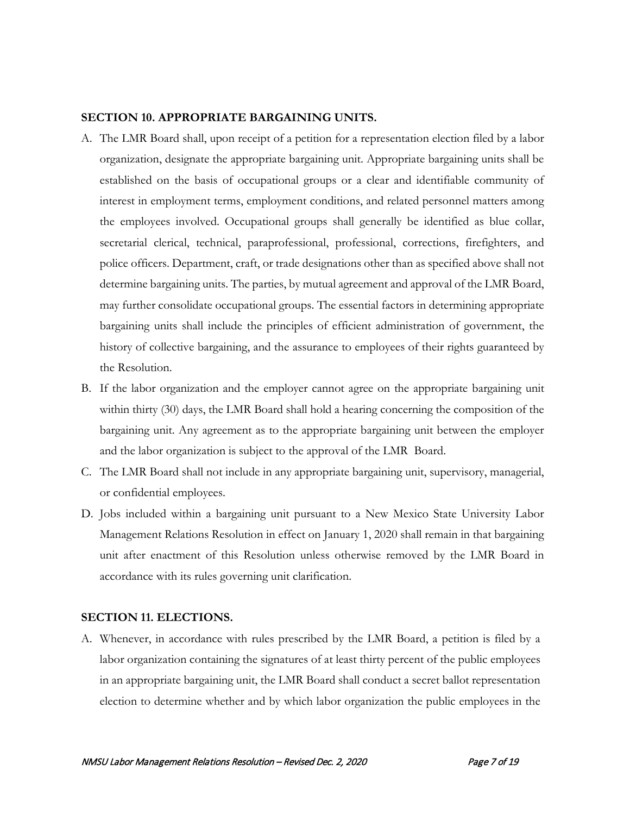#### **SECTION 10. APPROPRIATE BARGAINING UNITS.**

- A. The LMR Board shall, upon receipt of a petition for a representation election filed by a labor organization, designate the appropriate bargaining unit. Appropriate bargaining units shall be established on the basis of occupational groups or a clear and identifiable community of interest in employment terms, employment conditions, and related personnel matters among the employees involved. Occupational groups shall generally be identified as blue collar, secretarial clerical, technical, paraprofessional, professional, corrections, firefighters, and police officers. Department, craft, or trade designations other than as specified above shall not determine bargaining units. The parties, by mutual agreement and approval of the LMR Board, may further consolidate occupational groups. The essential factors in determining appropriate bargaining units shall include the principles of efficient administration of government, the history of collective bargaining, and the assurance to employees of their rights guaranteed by the Resolution.
- B. If the labor organization and the employer cannot agree on the appropriate bargaining unit within thirty (30) days, the LMR Board shall hold a hearing concerning the composition of the bargaining unit. Any agreement as to the appropriate bargaining unit between the employer and the labor organization is subject to the approval of the LMR Board.
- C. The LMR Board shall not include in any appropriate bargaining unit, supervisory, managerial, or confidential employees.
- D. Jobs included within a bargaining unit pursuant to a New Mexico State University Labor Management Relations Resolution in effect on January 1, 2020 shall remain in that bargaining unit after enactment of this Resolution unless otherwise removed by the LMR Board in accordance with its rules governing unit clarification.

# **SECTION 11. ELECTIONS.**

A. Whenever, in accordance with rules prescribed by the LMR Board, a petition is filed by a labor organization containing the signatures of at least thirty percent of the public employees in an appropriate bargaining unit, the LMR Board shall conduct a secret ballot representation election to determine whether and by which labor organization the public employees in the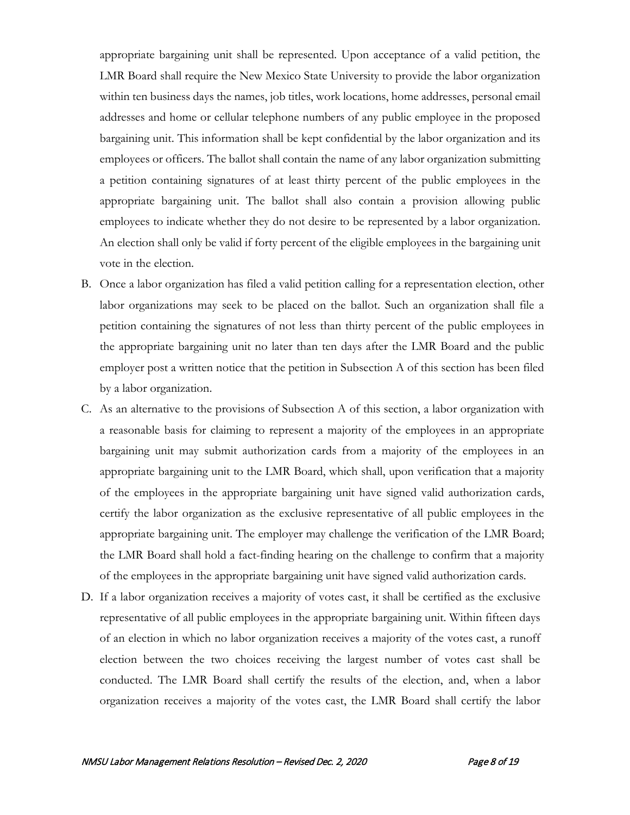appropriate bargaining unit shall be represented. Upon acceptance of a valid petition, the LMR Board shall require the New Mexico State University to provide the labor organization within ten business days the names, job titles, work locations, home addresses, personal email addresses and home or cellular telephone numbers of any public employee in the proposed bargaining unit. This information shall be kept confidential by the labor organization and its employees or officers. The ballot shall contain the name of any labor organization submitting a petition containing signatures of at least thirty percent of the public employees in the appropriate bargaining unit. The ballot shall also contain a provision allowing public employees to indicate whether they do not desire to be represented by a labor organization. An election shall only be valid if forty percent of the eligible employees in the bargaining unit vote in the election.

- B. Once a labor organization has filed a valid petition calling for a representation election, other labor organizations may seek to be placed on the ballot. Such an organization shall file a petition containing the signatures of not less than thirty percent of the public employees in the appropriate bargaining unit no later than ten days after the LMR Board and the public employer post a written notice that the petition in Subsection A of this section has been filed by a labor organization.
- C. As an alternative to the provisions of Subsection A of this section, a labor organization with a reasonable basis for claiming to represent a majority of the employees in an appropriate bargaining unit may submit authorization cards from a majority of the employees in an appropriate bargaining unit to the LMR Board, which shall, upon verification that a majority of the employees in the appropriate bargaining unit have signed valid authorization cards, certify the labor organization as the exclusive representative of all public employees in the appropriate bargaining unit. The employer may challenge the verification of the LMR Board; the LMR Board shall hold a fact-finding hearing on the challenge to confirm that a majority of the employees in the appropriate bargaining unit have signed valid authorization cards.
- D. If a labor organization receives a majority of votes cast, it shall be certified as the exclusive representative of all public employees in the appropriate bargaining unit. Within fifteen days of an election in which no labor organization receives a majority of the votes cast, a runoff election between the two choices receiving the largest number of votes cast shall be conducted. The LMR Board shall certify the results of the election, and, when a labor organization receives a majority of the votes cast, the LMR Board shall certify the labor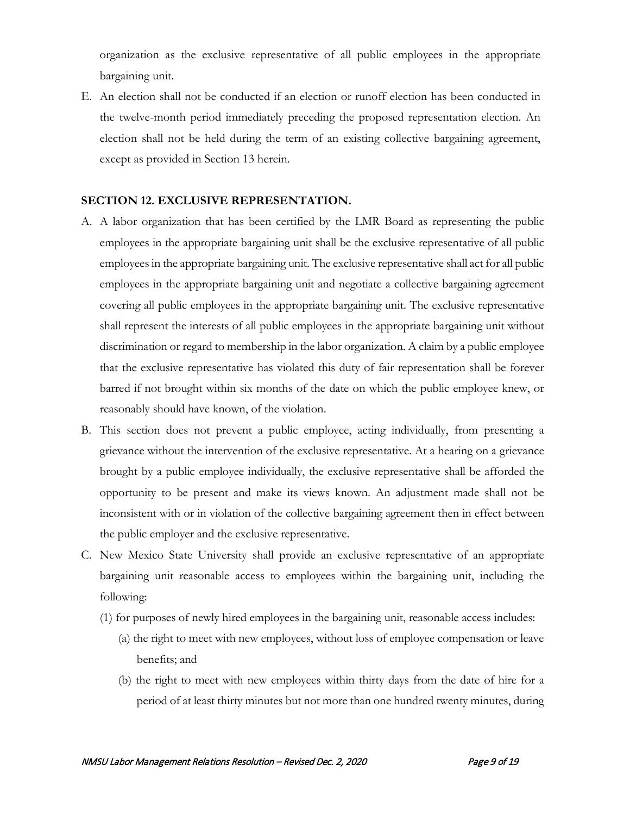organization as the exclusive representative of all public employees in the appropriate bargaining unit.

E. An election shall not be conducted if an election or runoff election has been conducted in the twelve-month period immediately preceding the proposed representation election. An election shall not be held during the term of an existing collective bargaining agreement, except as provided in Section 13 herein.

#### **SECTION 12. EXCLUSIVE REPRESENTATION.**

- A. A labor organization that has been certified by the LMR Board as representing the public employees in the appropriate bargaining unit shall be the exclusive representative of all public employees in the appropriate bargaining unit. The exclusive representative shall act for all public employees in the appropriate bargaining unit and negotiate a collective bargaining agreement covering all public employees in the appropriate bargaining unit. The exclusive representative shall represent the interests of all public employees in the appropriate bargaining unit without discrimination or regard to membership in the labor organization. A claim by a public employee that the exclusive representative has violated this duty of fair representation shall be forever barred if not brought within six months of the date on which the public employee knew, or reasonably should have known, of the violation.
- B. This section does not prevent a public employee, acting individually, from presenting a grievance without the intervention of the exclusive representative. At a hearing on a grievance brought by a public employee individually, the exclusive representative shall be afforded the opportunity to be present and make its views known. An adjustment made shall not be inconsistent with or in violation of the collective bargaining agreement then in effect between the public employer and the exclusive representative.
- C. New Mexico State University shall provide an exclusive representative of an appropriate bargaining unit reasonable access to employees within the bargaining unit, including the following:
	- (1) for purposes of newly hired employees in the bargaining unit, reasonable access includes:
		- (a) the right to meet with new employees, without loss of employee compensation or leave benefits; and
		- (b) the right to meet with new employees within thirty days from the date of hire for a period of at least thirty minutes but not more than one hundred twenty minutes, during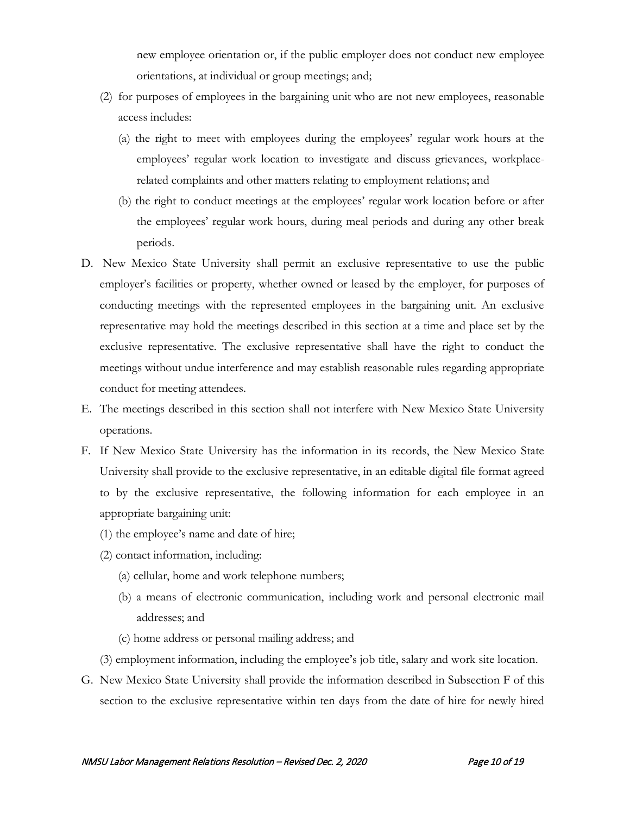new employee orientation or, if the public employer does not conduct new employee orientations, at individual or group meetings; and;

- (2) for purposes of employees in the bargaining unit who are not new employees, reasonable access includes:
	- (a) the right to meet with employees during the employees' regular work hours at the employees' regular work location to investigate and discuss grievances, workplacerelated complaints and other matters relating to employment relations; and
	- (b) the right to conduct meetings at the employees' regular work location before or after the employees' regular work hours, during meal periods and during any other break periods.
- D. New Mexico State University shall permit an exclusive representative to use the public employer's facilities or property, whether owned or leased by the employer, for purposes of conducting meetings with the represented employees in the bargaining unit. An exclusive representative may hold the meetings described in this section at a time and place set by the exclusive representative. The exclusive representative shall have the right to conduct the meetings without undue interference and may establish reasonable rules regarding appropriate conduct for meeting attendees.
- E. The meetings described in this section shall not interfere with New Mexico State University operations.
- F. If New Mexico State University has the information in its records, the New Mexico State University shall provide to the exclusive representative, in an editable digital file format agreed to by the exclusive representative, the following information for each employee in an appropriate bargaining unit:
	- (1) the employee's name and date of hire;
	- (2) contact information, including:
		- (a) cellular, home and work telephone numbers;
		- (b) a means of electronic communication, including work and personal electronic mail addresses; and
		- (c) home address or personal mailing address; and
	- (3) employment information, including the employee's job title, salary and work site location.
- G. New Mexico State University shall provide the information described in Subsection F of this section to the exclusive representative within ten days from the date of hire for newly hired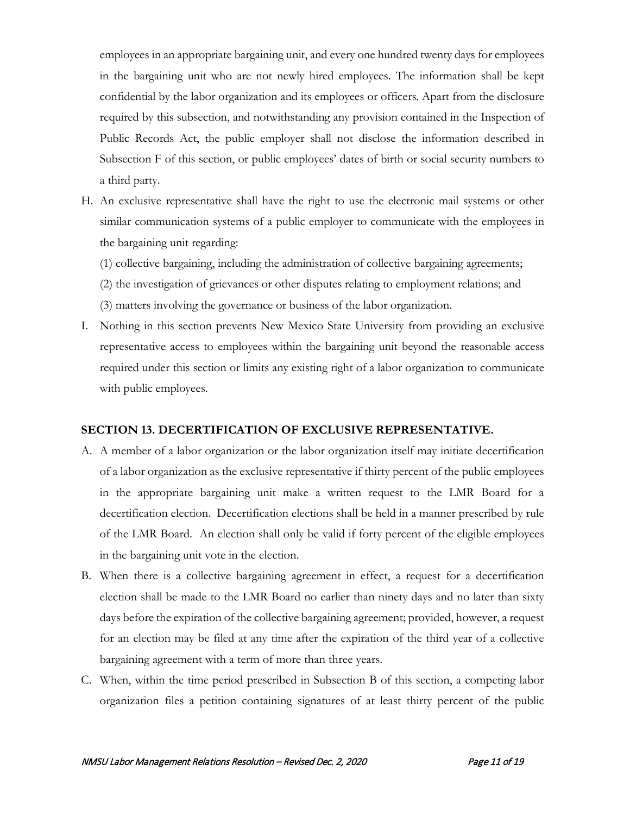employees in an appropriate bargaining unit, and every one hundred twenty days for employees in the bargaining unit who are not newly hired employees. The information shall be kept confidential by the labor organization and its employees or officers. Apart from the disclosure required by this subsection, and notwithstanding any provision contained in the Inspection of Public Records Act, the public employer shall not disclose the information described in Subsection F of this section, or public employees' dates of birth or social security numbers to a third party.

- H. An exclusive representative shall have the right to use the electronic mail systems or other similar communication systems of a public employer to communicate with the employees in the bargaining unit regarding:
	- (1) collective bargaining, including the administration of collective bargaining agreements;
	- (2) the investigation of grievances or other disputes relating to employment relations; and
	- (3) matters involving the governance or business of the labor organization.
- I. Nothing in this section prevents New Mexico State University from providing an exclusive representative access to employees within the bargaining unit beyond the reasonable access required under this section or limits any existing right of a labor organization to communicate with public employees.

#### **SECTION 13. DECERTIFICATION OF EXCLUSIVE REPRESENTATIVE.**

- A. A member of a labor organization or the labor organization itself may initiate decertification of a labor organization as the exclusive representative if thirty percent of the public employees in the appropriate bargaining unit make a written request to the LMR Board for a decertification election. Decertification elections shall be held in a manner prescribed by rule of the LMR Board. An election shall only be valid if forty percent of the eligible employees in the bargaining unit vote in the election.
- B. When there is a collective bargaining agreement in effect, a request for a decertification election shall be made to the LMR Board no earlier than ninety days and no later than sixty days before the expiration of the collective bargaining agreement; provided, however, a request for an election may be filed at any time after the expiration of the third year of a collective bargaining agreement with a term of more than three years.
- C. When, within the time period prescribed in Subsection B of this section, a competing labor organization files a petition containing signatures of at least thirty percent of the public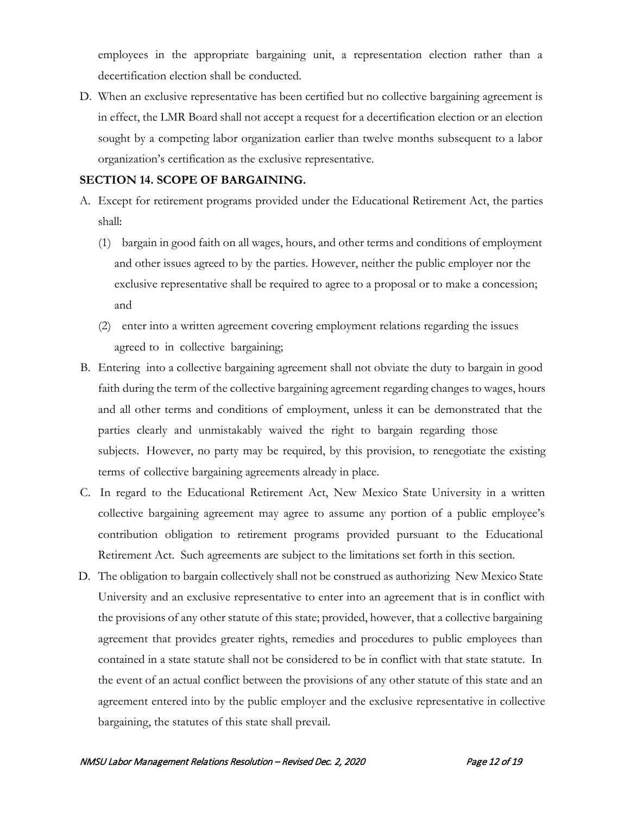employees in the appropriate bargaining unit, a representation election rather than a decertification election shall be conducted.

D. When an exclusive representative has been certified but no collective bargaining agreement is in effect, the LMR Board shall not accept a request for a decertification election or an election sought by a competing labor organization earlier than twelve months subsequent to a labor organization's certification as the exclusive representative.

#### **SECTION 14. SCOPE OF BARGAINING.**

- A. Except for retirement programs provided under the Educational Retirement Act, the parties shall:
	- (1) bargain in good faith on all wages, hours, and other terms and conditions of employment and other issues agreed to by the parties. However, neither the public employer nor the exclusive representative shall be required to agree to a proposal or to make a concession; and
	- (2) enter into a written agreement covering employment relations regarding the issues agreed to in collective bargaining;
- B. Entering into a collective bargaining agreement shall not obviate the duty to bargain in good faith during the term of the collective bargaining agreement regarding changes to wages, hours and all other terms and conditions of employment, unless it can be demonstrated that the parties clearly and unmistakably waived the right to bargain regarding those subjects. However, no party may be required, by this provision, to renegotiate the existing terms of collective bargaining agreements already in place.
- C. In regard to the Educational Retirement Act, New Mexico State University in a written collective bargaining agreement may agree to assume any portion of a public employee's contribution obligation to retirement programs provided pursuant to the Educational Retirement Act. Such agreements are subject to the limitations set forth in this section.
- D. The obligation to bargain collectively shall not be construed as authorizing New Mexico State University and an exclusive representative to enter into an agreement that is in conflict with the provisions of any other statute of this state; provided, however, that a collective bargaining agreement that provides greater rights, remedies and procedures to public employees than contained in a state statute shall not be considered to be in conflict with that state statute. In the event of an actual conflict between the provisions of any other statute of this state and an agreement entered into by the public employer and the exclusive representative in collective bargaining, the statutes of this state shall prevail.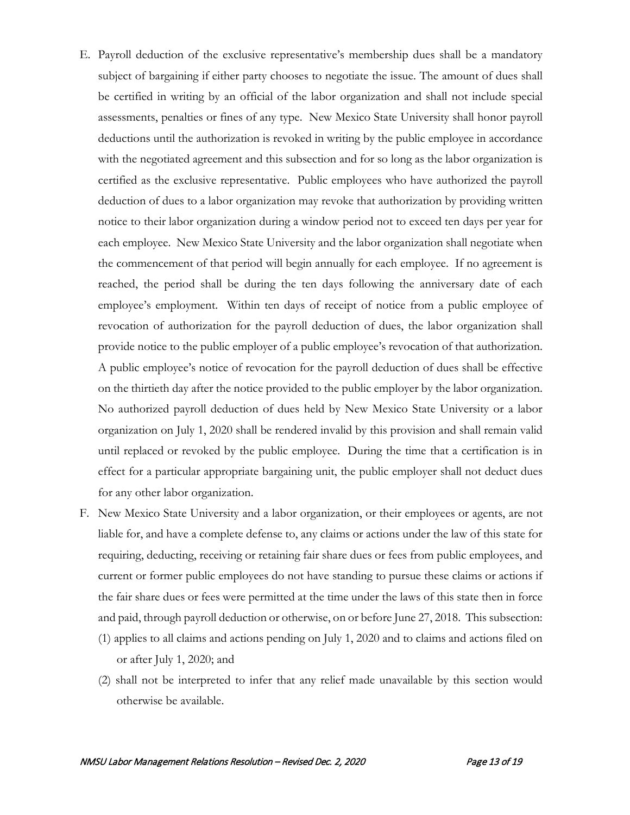- E. Payroll deduction of the exclusive representative's membership dues shall be a mandatory subject of bargaining if either party chooses to negotiate the issue. The amount of dues shall be certified in writing by an official of the labor organization and shall not include special assessments, penalties or fines of any type. New Mexico State University shall honor payroll deductions until the authorization is revoked in writing by the public employee in accordance with the negotiated agreement and this subsection and for so long as the labor organization is certified as the exclusive representative. Public employees who have authorized the payroll deduction of dues to a labor organization may revoke that authorization by providing written notice to their labor organization during a window period not to exceed ten days per year for each employee. New Mexico State University and the labor organization shall negotiate when the commencement of that period will begin annually for each employee. If no agreement is reached, the period shall be during the ten days following the anniversary date of each employee's employment. Within ten days of receipt of notice from a public employee of revocation of authorization for the payroll deduction of dues, the labor organization shall provide notice to the public employer of a public employee's revocation of that authorization. A public employee's notice of revocation for the payroll deduction of dues shall be effective on the thirtieth day after the notice provided to the public employer by the labor organization. No authorized payroll deduction of dues held by New Mexico State University or a labor organization on July 1, 2020 shall be rendered invalid by this provision and shall remain valid until replaced or revoked by the public employee. During the time that a certification is in effect for a particular appropriate bargaining unit, the public employer shall not deduct dues for any other labor organization.
- F. New Mexico State University and a labor organization, or their employees or agents, are not liable for, and have a complete defense to, any claims or actions under the law of this state for requiring, deducting, receiving or retaining fair share dues or fees from public employees, and current or former public employees do not have standing to pursue these claims or actions if the fair share dues or fees were permitted at the time under the laws of this state then in force and paid, through payroll deduction or otherwise, on or before June 27, 2018. This subsection:
	- (1) applies to all claims and actions pending on July 1, 2020 and to claims and actions filed on or after July 1, 2020; and
	- (2) shall not be interpreted to infer that any relief made unavailable by this section would otherwise be available.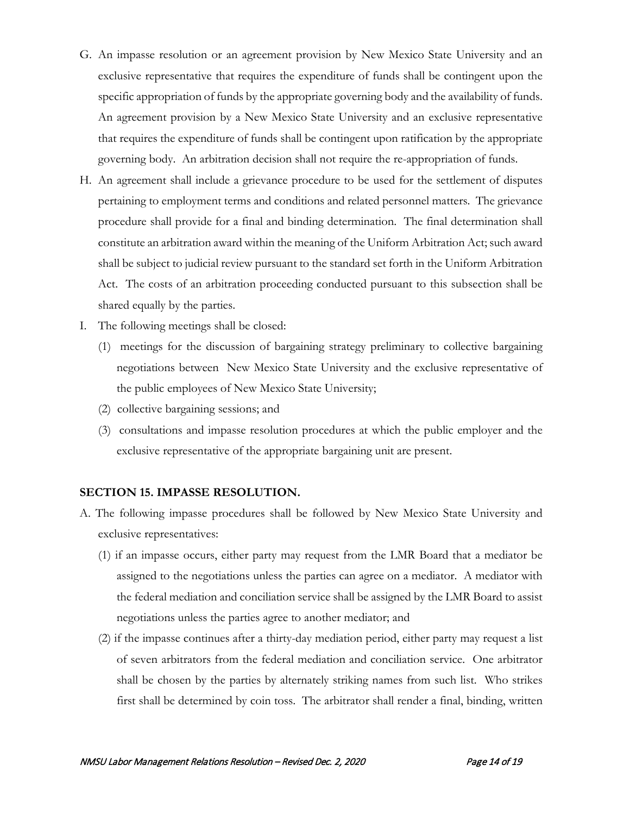- G. An impasse resolution or an agreement provision by New Mexico State University and an exclusive representative that requires the expenditure of funds shall be contingent upon the specific appropriation of funds by the appropriate governing body and the availability of funds. An agreement provision by a New Mexico State University and an exclusive representative that requires the expenditure of funds shall be contingent upon ratification by the appropriate governing body. An arbitration decision shall not require the re-appropriation of funds.
- H. An agreement shall include a grievance procedure to be used for the settlement of disputes pertaining to employment terms and conditions and related personnel matters. The grievance procedure shall provide for a final and binding determination. The final determination shall constitute an arbitration award within the meaning of the Uniform Arbitration Act; such award shall be subject to judicial review pursuant to the standard set forth in the Uniform Arbitration Act. The costs of an arbitration proceeding conducted pursuant to this subsection shall be shared equally by the parties.
- I. The following meetings shall be closed:
	- (1) meetings for the discussion of bargaining strategy preliminary to collective bargaining negotiations between New Mexico State University and the exclusive representative of the public employees of New Mexico State University;
	- (2) collective bargaining sessions; and
	- (3) consultations and impasse resolution procedures at which the public employer and the exclusive representative of the appropriate bargaining unit are present.

#### **SECTION 15. IMPASSE RESOLUTION.**

- A. The following impasse procedures shall be followed by New Mexico State University and exclusive representatives:
	- (1) if an impasse occurs, either party may request from the LMR Board that a mediator be assigned to the negotiations unless the parties can agree on a mediator. A mediator with the federal mediation and conciliation service shall be assigned by the LMR Board to assist negotiations unless the parties agree to another mediator; and
	- (2) if the impasse continues after a thirty-day mediation period, either party may request a list of seven arbitrators from the federal mediation and conciliation service. One arbitrator shall be chosen by the parties by alternately striking names from such list. Who strikes first shall be determined by coin toss. The arbitrator shall render a final, binding, written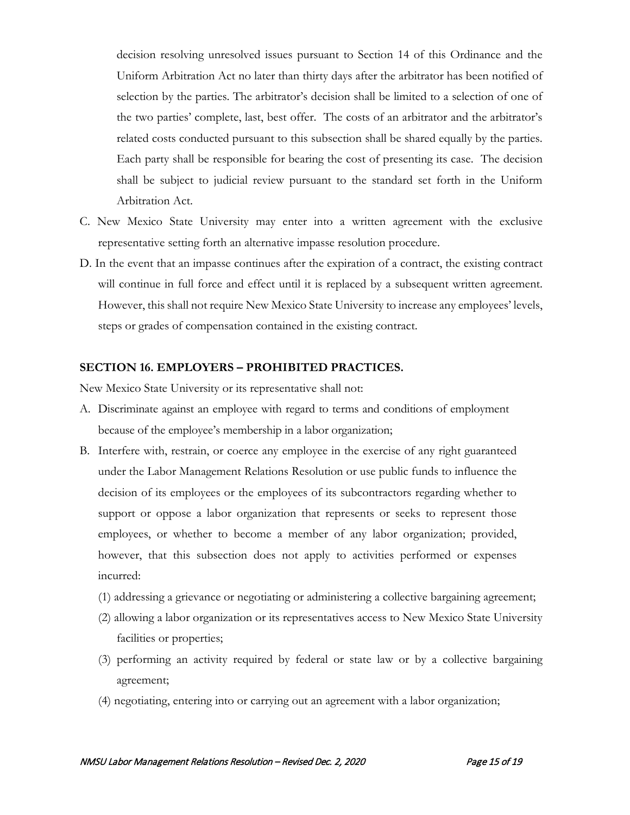decision resolving unresolved issues pursuant to Section 14 of this Ordinance and the Uniform Arbitration Act no later than thirty days after the arbitrator has been notified of selection by the parties. The arbitrator's decision shall be limited to a selection of one of the two parties' complete, last, best offer. The costs of an arbitrator and the arbitrator's related costs conducted pursuant to this subsection shall be shared equally by the parties. Each party shall be responsible for bearing the cost of presenting its case. The decision shall be subject to judicial review pursuant to the standard set forth in the Uniform Arbitration Act.

- C. New Mexico State University may enter into a written agreement with the exclusive representative setting forth an alternative impasse resolution procedure.
- D. In the event that an impasse continues after the expiration of a contract, the existing contract will continue in full force and effect until it is replaced by a subsequent written agreement. However, this shall not require New Mexico State University to increase any employees' levels, steps or grades of compensation contained in the existing contract.

### **SECTION 16. EMPLOYERS – PROHIBITED PRACTICES.**

New Mexico State University or its representative shall not:

- A. Discriminate against an employee with regard to terms and conditions of employment because of the employee's membership in a labor organization;
- B. Interfere with, restrain, or coerce any employee in the exercise of any right guaranteed under the Labor Management Relations Resolution or use public funds to influence the decision of its employees or the employees of its subcontractors regarding whether to support or oppose a labor organization that represents or seeks to represent those employees, or whether to become a member of any labor organization; provided, however, that this subsection does not apply to activities performed or expenses incurred:
	- (1) addressing a grievance or negotiating or administering a collective bargaining agreement;
	- (2) allowing a labor organization or its representatives access to New Mexico State University facilities or properties;
	- (3) performing an activity required by federal or state law or by a collective bargaining agreement;
	- (4) negotiating, entering into or carrying out an agreement with a labor organization;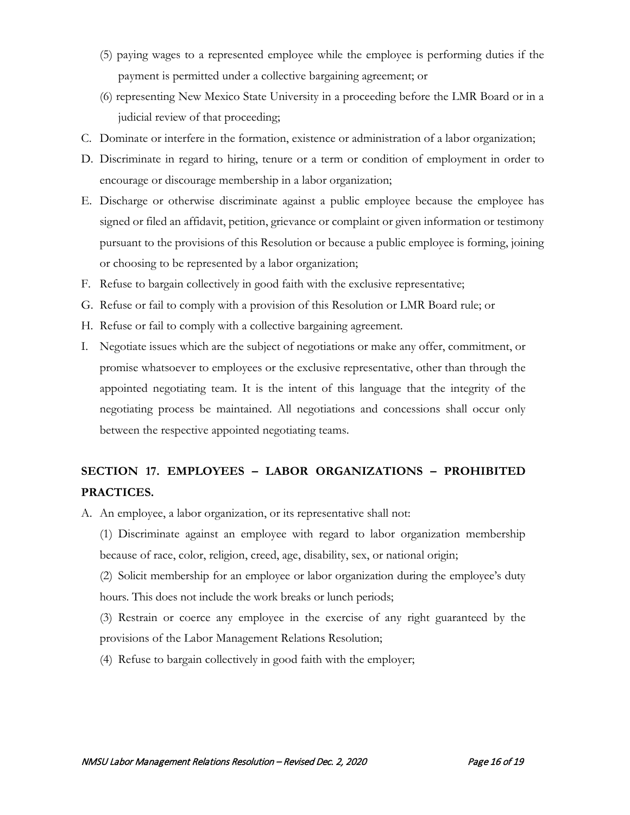- (5) paying wages to a represented employee while the employee is performing duties if the payment is permitted under a collective bargaining agreement; or
- (6) representing New Mexico State University in a proceeding before the LMR Board or in a judicial review of that proceeding;
- C. Dominate or interfere in the formation, existence or administration of a labor organization;
- D. Discriminate in regard to hiring, tenure or a term or condition of employment in order to encourage or discourage membership in a labor organization;
- E. Discharge or otherwise discriminate against a public employee because the employee has signed or filed an affidavit, petition, grievance or complaint or given information or testimony pursuant to the provisions of this Resolution or because a public employee is forming, joining or choosing to be represented by a labor organization;
- F. Refuse to bargain collectively in good faith with the exclusive representative;
- G. Refuse or fail to comply with a provision of this Resolution or LMR Board rule; or
- H. Refuse or fail to comply with a collective bargaining agreement.
- I. Negotiate issues which are the subject of negotiations or make any offer, commitment, or promise whatsoever to employees or the exclusive representative, other than through the appointed negotiating team. It is the intent of this language that the integrity of the negotiating process be maintained. All negotiations and concessions shall occur only between the respective appointed negotiating teams.

# **SECTION 17. EMPLOYEES – LABOR ORGANIZATIONS – PROHIBITED PRACTICES.**

A. An employee, a labor organization, or its representative shall not:

(1) Discriminate against an employee with regard to labor organization membership because of race, color, religion, creed, age, disability, sex, or national origin;

(2) Solicit membership for an employee or labor organization during the employee's duty hours. This does not include the work breaks or lunch periods;

(3) Restrain or coerce any employee in the exercise of any right guaranteed by the provisions of the Labor Management Relations Resolution;

(4) Refuse to bargain collectively in good faith with the employer;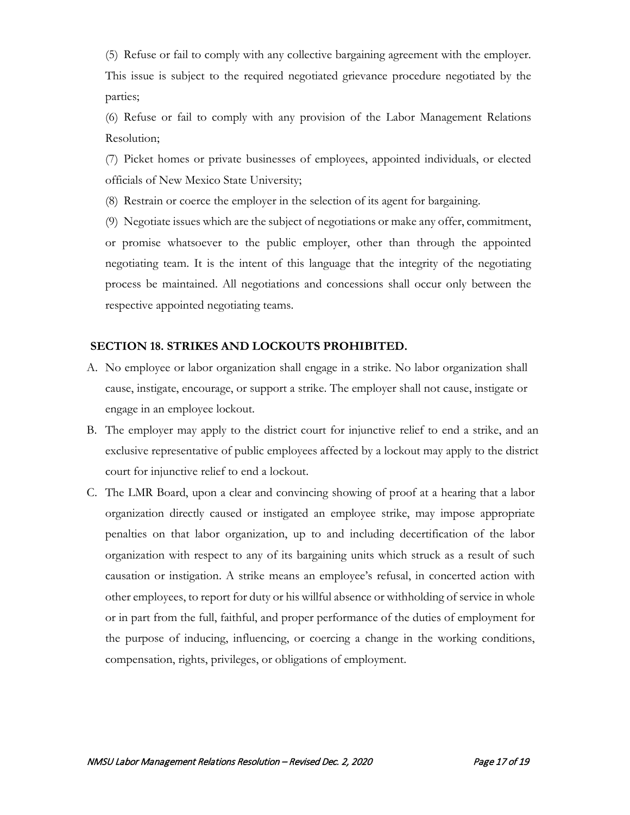(5) Refuse or fail to comply with any collective bargaining agreement with the employer. This issue is subject to the required negotiated grievance procedure negotiated by the parties;

(6) Refuse or fail to comply with any provision of the Labor Management Relations Resolution;

(7) Picket homes or private businesses of employees, appointed individuals, or elected officials of New Mexico State University;

(8) Restrain or coerce the employer in the selection of its agent for bargaining.

(9) Negotiate issues which are the subject of negotiations or make any offer, commitment, or promise whatsoever to the public employer, other than through the appointed negotiating team. It is the intent of this language that the integrity of the negotiating process be maintained. All negotiations and concessions shall occur only between the respective appointed negotiating teams.

#### **SECTION 18. STRIKES AND LOCKOUTS PROHIBITED.**

- A. No employee or labor organization shall engage in a strike. No labor organization shall cause, instigate, encourage, or support a strike. The employer shall not cause, instigate or engage in an employee lockout.
- B. The employer may apply to the district court for injunctive relief to end a strike, and an exclusive representative of public employees affected by a lockout may apply to the district court for injunctive relief to end a lockout.
- C. The LMR Board, upon a clear and convincing showing of proof at a hearing that a labor organization directly caused or instigated an employee strike, may impose appropriate penalties on that labor organization, up to and including decertification of the labor organization with respect to any of its bargaining units which struck as a result of such causation or instigation. A strike means an employee's refusal, in concerted action with other employees, to report for duty or his willful absence or withholding of service in whole or in part from the full, faithful, and proper performance of the duties of employment for the purpose of inducing, influencing, or coercing a change in the working conditions, compensation, rights, privileges, or obligations of employment.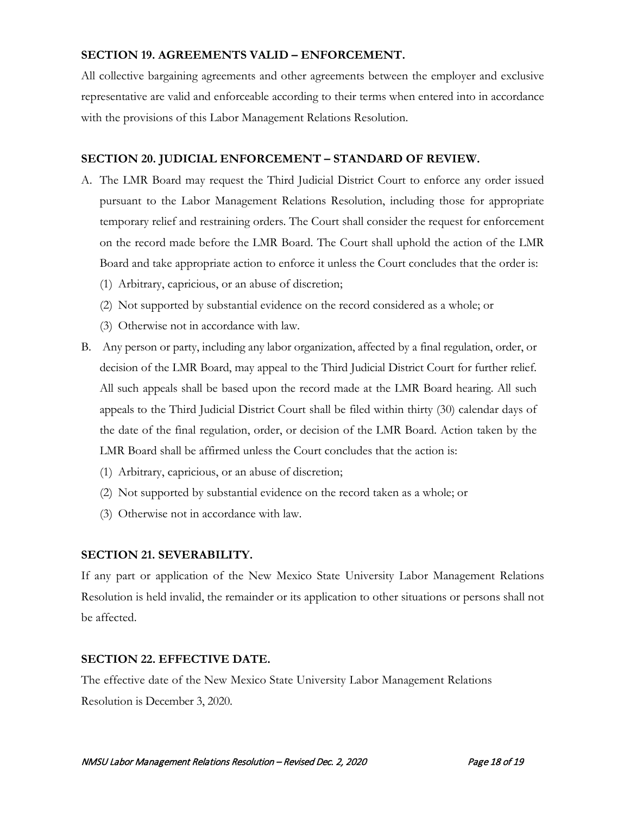# **SECTION 19. AGREEMENTS VALID – ENFORCEMENT.**

All collective bargaining agreements and other agreements between the employer and exclusive representative are valid and enforceable according to their terms when entered into in accordance with the provisions of this Labor Management Relations Resolution.

# **SECTION 20. JUDICIAL ENFORCEMENT – STANDARD OF REVIEW.**

- A. The LMR Board may request the Third Judicial District Court to enforce any order issued pursuant to the Labor Management Relations Resolution, including those for appropriate temporary relief and restraining orders. The Court shall consider the request for enforcement on the record made before the LMR Board. The Court shall uphold the action of the LMR Board and take appropriate action to enforce it unless the Court concludes that the order is:
	- (1) Arbitrary, capricious, or an abuse of discretion;
	- (2) Not supported by substantial evidence on the record considered as a whole; or
	- (3) Otherwise not in accordance with law.
- B. Any person or party, including any labor organization, affected by a final regulation, order, or decision of the LMR Board, may appeal to the Third Judicial District Court for further relief. All such appeals shall be based upon the record made at the LMR Board hearing. All such appeals to the Third Judicial District Court shall be filed within thirty (30) calendar days of the date of the final regulation, order, or decision of the LMR Board. Action taken by the LMR Board shall be affirmed unless the Court concludes that the action is:
	- (1) Arbitrary, capricious, or an abuse of discretion;
	- (2) Not supported by substantial evidence on the record taken as a whole; or
	- (3) Otherwise not in accordance with law.

# **SECTION 21. SEVERABILITY.**

If any part or application of the New Mexico State University Labor Management Relations Resolution is held invalid, the remainder or its application to other situations or persons shall not be affected.

# **SECTION 22. EFFECTIVE DATE.**

The effective date of the New Mexico State University Labor Management Relations Resolution is December 3, 2020.